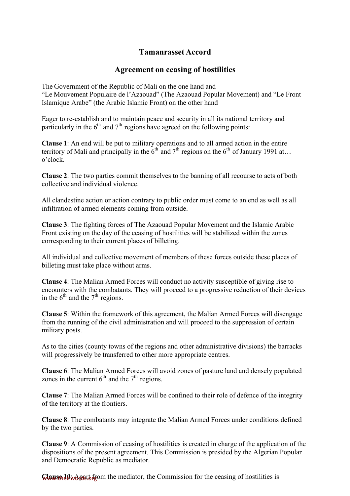## **Tamanrasset Accord**

## **Agreement on ceasing of hostilities**

The Government of the Republic of Mali on the one hand and "Le Mouvement Populaire de l'Azaouad" (The Azaouad Popular Movement) and "Le Front Islamique Arabe" (the Arabic Islamic Front) on the other hand

Eager to re-establish and to maintain peace and security in all its national territory and particularly in the  $6<sup>th</sup>$  and  $7<sup>th</sup>$  regions have agreed on the following points:

**Clause 1**: An end will be put to military operations and to all armed action in the entire territory of Mali and principally in the  $6<sup>th</sup>$  and  $7<sup>th</sup>$  regions on the  $6<sup>th</sup>$  of January 1991 at… o'clock.

**Clause 2**: The two parties commit themselves to the banning of all recourse to acts of both collective and individual violence.

All clandestine action or action contrary to public order must come to an end as well as all infiltration of armed elements coming from outside.

**Clause 3**: The fighting forces of The Azaouad Popular Movement and the Islamic Arabic Front existing on the day of the ceasing of hostilities will be stabilized within the zones corresponding to their current places of billeting.

All individual and collective movement of members of these forces outside these places of billeting must take place without arms.

**Clause 4**: The Malian Armed Forces will conduct no activity susceptible of giving rise to encounters with the combatants. They will proceed to a progressive reduction of their devices in the  $6<sup>th</sup>$  and the  $7<sup>th</sup>$  regions.

**Clause 5**: Within the framework of this agreement, the Malian Armed Forces will disengage from the running of the civil administration and will proceed to the suppression of certain military posts.

As to the cities (county towns of the regions and other administrative divisions) the barracks will progressively be transferred to other more appropriate centres.

**Clause 6**: The Malian Armed Forces will avoid zones of pasture land and densely populated zones in the current  $6<sup>th</sup>$  and the  $7<sup>th</sup>$  regions.

**Clause 7**: The Malian Armed Forces will be confined to their role of defence of the integrity of the territory at the frontiers.

**Clause 8**: The combatants may integrate the Malian Armed Forces under conditions defined by the two parties.

**Clause 9**: A Commission of ceasing of hostilities is created in charge of the application of the dispositions of the present agreement. This Commission is presided by the Algerian Popular and Democratic Republic as mediator.

**Clause 10:** Apart of from the mediator, the Commission for the ceasing of hostilities is